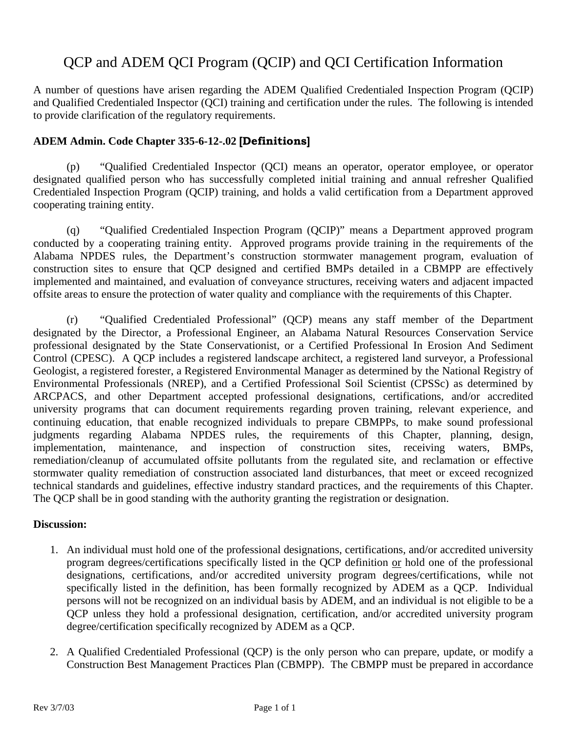## QCP and ADEM QCI Program (QCIP) and QCI Certification Information

A number of questions have arisen regarding the ADEM Qualified Credentialed Inspection Program (QCIP) and Qualified Credentialed Inspector (QCI) training and certification under the rules. The following is intended to provide clarification of the regulatory requirements.

## **ADEM Admin. Code Chapter 335-6-12-.02 [Definitions]**

 (p) "Qualified Credentialed Inspector (QCI) means an operator, operator employee, or operator designated qualified person who has successfully completed initial training and annual refresher Qualified Credentialed Inspection Program (QCIP) training, and holds a valid certification from a Department approved cooperating training entity.

 (q) "Qualified Credentialed Inspection Program (QCIP)" means a Department approved program conducted by a cooperating training entity. Approved programs provide training in the requirements of the Alabama NPDES rules, the Department's construction stormwater management program, evaluation of construction sites to ensure that QCP designed and certified BMPs detailed in a CBMPP are effectively implemented and maintained, and evaluation of conveyance structures, receiving waters and adjacent impacted offsite areas to ensure the protection of water quality and compliance with the requirements of this Chapter.

 (r) "Qualified Credentialed Professional" (QCP) means any staff member of the Department designated by the Director, a Professional Engineer, an Alabama Natural Resources Conservation Service professional designated by the State Conservationist, or a Certified Professional In Erosion And Sediment Control (CPESC). A QCP includes a registered landscape architect, a registered land surveyor, a Professional Geologist, a registered forester, a Registered Environmental Manager as determined by the National Registry of Environmental Professionals (NREP), and a Certified Professional Soil Scientist (CPSSc) as determined by ARCPACS, and other Department accepted professional designations, certifications, and/or accredited university programs that can document requirements regarding proven training, relevant experience, and continuing education, that enable recognized individuals to prepare CBMPPs, to make sound professional judgments regarding Alabama NPDES rules, the requirements of this Chapter, planning, design, implementation, maintenance, and inspection of construction sites, receiving waters, BMPs, remediation/cleanup of accumulated offsite pollutants from the regulated site, and reclamation or effective stormwater quality remediation of construction associated land disturbances, that meet or exceed recognized technical standards and guidelines, effective industry standard practices, and the requirements of this Chapter. The QCP shall be in good standing with the authority granting the registration or designation.

## **Discussion:**

- 1. An individual must hold one of the professional designations, certifications, and/or accredited university program degrees/certifications specifically listed in the QCP definition or hold one of the professional designations, certifications, and/or accredited university program degrees/certifications, while not specifically listed in the definition, has been formally recognized by ADEM as a QCP. Individual persons will not be recognized on an individual basis by ADEM, and an individual is not eligible to be a QCP unless they hold a professional designation, certification, and/or accredited university program degree/certification specifically recognized by ADEM as a QCP.
- 2. A Qualified Credentialed Professional (QCP) is the only person who can prepare, update, or modify a Construction Best Management Practices Plan (CBMPP). The CBMPP must be prepared in accordance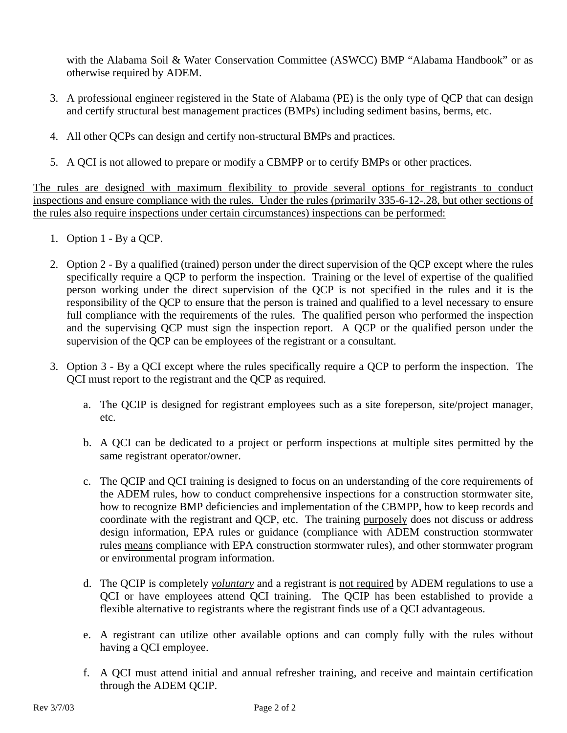with the Alabama Soil & Water Conservation Committee (ASWCC) BMP "Alabama Handbook" or as otherwise required by ADEM.

- 3. A professional engineer registered in the State of Alabama (PE) is the only type of QCP that can design and certify structural best management practices (BMPs) including sediment basins, berms, etc.
- 4. All other QCPs can design and certify non-structural BMPs and practices.
- 5. A QCI is not allowed to prepare or modify a CBMPP or to certify BMPs or other practices.

The rules are designed with maximum flexibility to provide several options for registrants to conduct inspections and ensure compliance with the rules. Under the rules (primarily 335-6-12-.28, but other sections of the rules also require inspections under certain circumstances) inspections can be performed:

- 1. Option 1 By a QCP.
- 2. Option 2 By a qualified (trained) person under the direct supervision of the QCP except where the rules specifically require a QCP to perform the inspection. Training or the level of expertise of the qualified person working under the direct supervision of the QCP is not specified in the rules and it is the responsibility of the QCP to ensure that the person is trained and qualified to a level necessary to ensure full compliance with the requirements of the rules. The qualified person who performed the inspection and the supervising QCP must sign the inspection report. A QCP or the qualified person under the supervision of the QCP can be employees of the registrant or a consultant.
- 3. Option 3 By a QCI except where the rules specifically require a QCP to perform the inspection. The QCI must report to the registrant and the QCP as required.
	- a. The QCIP is designed for registrant employees such as a site foreperson, site/project manager, etc.
	- b. A QCI can be dedicated to a project or perform inspections at multiple sites permitted by the same registrant operator/owner.
	- c. The QCIP and QCI training is designed to focus on an understanding of the core requirements of the ADEM rules, how to conduct comprehensive inspections for a construction stormwater site, how to recognize BMP deficiencies and implementation of the CBMPP, how to keep records and coordinate with the registrant and QCP, etc. The training purposely does not discuss or address design information, EPA rules or guidance (compliance with ADEM construction stormwater rules means compliance with EPA construction stormwater rules), and other stormwater program or environmental program information.
	- d. The QCIP is completely *voluntary* and a registrant is not required by ADEM regulations to use a QCI or have employees attend QCI training. The QCIP has been established to provide a flexible alternative to registrants where the registrant finds use of a QCI advantageous.
	- e. A registrant can utilize other available options and can comply fully with the rules without having a QCI employee.
	- f. A QCI must attend initial and annual refresher training, and receive and maintain certification through the ADEM QCIP.